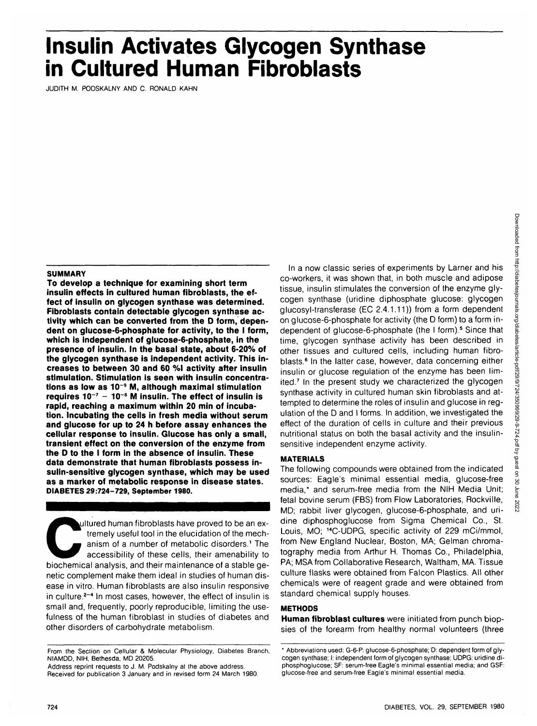# **Insulin Activates Glycogen Synthase in Cultured Human Fibroblasts**

JUDITH M. PODSKALNY AND C. RONALD KAHN

## **SUMMARY**

**To develop a technique for examining short term insulin effects in cultured human fibroblasts, the effect of insulin on glycogen synthase was determined. Fibroblasts contain detectable glycogen synthase activity which can be converted from the D form, dependent on glucose-6-phosphate for activity, to the I form, which is independent of glucose-6-phosphate, in the presence of insulin. In the basal state, about 6-20% of the glycogen synthase is independent activity. This increases to between 30 and 60 %l activity after insulin stimulation. Stimulation is seen with insulin concentrations as low as 10~9 M, although maximal stimulation requires 10~7 - 10~6 M insulin. The effect of insulin is rapid, reaching a maximum within 20 min of incubation. Incubating the cells in fresh media without serum and glucose for up to 24 h before assay enhances the cellular response to insulin. Glucose has only a small, transient effect on the conversion of the enzyme from the D to the I form in the absence of insulin. These data demonstrate that human fibroblasts possess insulin-sensitive giycogen synthase, which may be used as a marker of metabolic response in disease states. DIABETES 29:724-729, September 1980.**

Ultured human fibroblasts have proved to be an ex-<br>tremely useful tool in the elucidation of the mech-<br>anism of a number of metabolic disorders.<sup>1</sup> The<br>accessibility of these cells, their amenability to<br>biochemical analysi tremely useful tool in the elucidation of the mechanism of a number of metabolic disorders.<sup>1</sup> The accessibility of these cells, their amenability to biochemical analysis, and their maintenance of a stable genetic complement make them ideal in studies of human disease in vitro. Human fibroblasts are also insulin responsive in culture.<sup>2-4</sup> In most cases, however, the effect of insulin is small and, frequently, poorly reproducible, limiting the usefulness of the human fibroblast in studies of diabetes and other disorders of carbohydrate metabolism.

In a now classic series of experiments by Lamer and his co-workers, it was shown that, in both muscle and adipose tissue, insulin stimulates the conversion of the enzyme glycogen synthase (uridine diphosphate glucose: glycogen glucosyl-transferase (EC 2.4.1.11)) from a form dependent on glucose-6-phosphate for activity (the D form) to a form independent of glucose-6-phosphate (the I form).<sup>5</sup> Since that time, glycogen synthase activity has been described in other tissues and cultured cells, including human fibroblasts.<sup>6</sup> In the latter case, however, data concerning either insulin or glucose regulation of the enzyme has been limited.<sup>7</sup> In the present study we characterized the glycogen synthase activity in cultured human skin fibroblasts and attempted to determine the roles of insulin and glucose in regulation of the D and I forms. In addition, we investigated the effect of the duration of cells in culture and their previous nutritional status on both the basal activity and the insulinsensitive independent enzyme activity.

# **MATERIALS**

The following compounds were obtained from the indicated sources: Eagle's minimal essential media, glucose-free media,\* and serum-free media from the NIH Media Unit; fetal bovine serum (FBS) from Flow Laboratories, Rockville, MD; rabbit liver glycogen, glucose-6-phosphate, and uridine diphosphoglucose from Sigma Chemical Co., St. Louis, MO; <sup>14</sup>C-UDPG, specific activity of 229 mCi/mmol from New England Nuclear, Boston, MA; Gelman chromatography media from Arthur H. Thomas Co., Philadelphia, PA; MSA from Collaborative Research, Waltham, MA. Tissue culture flasks were obtained from Falcon Plastics. All other chemicals were of reagent grade and were obtained from standard chemical supply houses.

# **METHODS**

**Human fibroblast cultures** were initiated from punch biopsies of the forearm from healthy normal volunteers (three

From the Section on Cellular & Molecular Physiology, Diabetes Branch, NIAMDD, NIH, Bethesda, MD 20205.

Address reprint requests to J. M. Podskalny at the above address. Received for publication 3 January and in revised form 24 March 1980.

<sup>\*</sup> Abbreviations used: G-6-P: glucose-6-phosphate; D: dependent form of glycogen synthase; I: independent form of glycogen synthase; UDPG: uridine diphosphoglucose; SF: serum-free Eagle's minimal essential media; and GSF: glucose-free and serum-free Eagle's minimal essential media.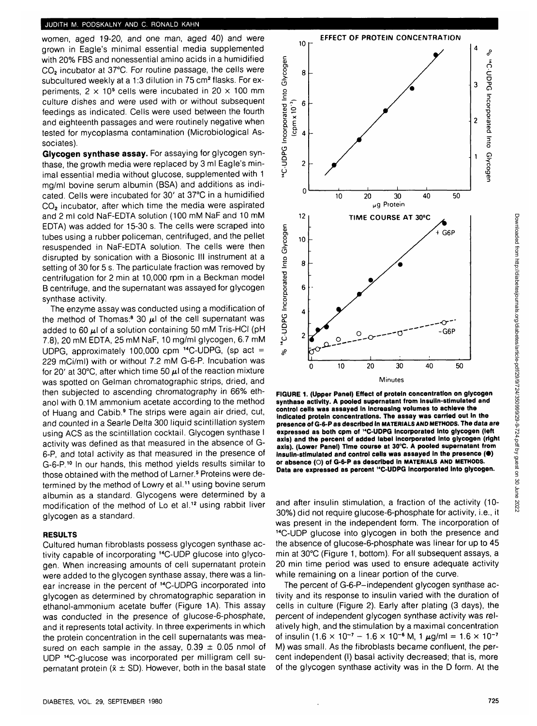women, aged 19-20, and one man, aged 40) and were grown in Eagle's minimal essential media supplemented with 20% FBS and nonessential amino acids in a humidified CO<sub>2</sub> incubator at 37°C. For routine passage, the cells were subcultured weekly at a 1:3 dilution in 75 cm<sup>2</sup> flasks. For experiments, 2  $\times$  10<sup>5</sup> cells were incubated in 20  $\times$  100 mm culture dishes and were used with or without subsequent feedings as indicated. Cells were used between the fourth and eighteenth passages and were routinely negative when tested for mycoplasma contamination (Microbiological Associates).

**Glycogen synthase assay.** For assaying for glycogen synthase, the growth media were replaced by 3 ml Eagle's minimal essential media without glucose, supplemented with 1 mg/ml bovine serum albumin (BSA) and additions as indicated. Cells were incubated for 30' at 37°C in a humidified CO<sub>2</sub> incubator, after which time the media were aspirated and 2 ml cold NaF-EDTA solution (100 mM NaF and 10 mM EDTA) was added for 15-30 s. The cells were scraped into tubes using a rubber policeman, centrifuged, and the pellet resuspended in NaF-EDTA solution. The cells were then disrupted by sonication with a Biosonic III instrument at a setting of 30 for 5 s. The particulate fraction was removed by centrifugation for 2 min at 10,000 rpm in a Beckman model B centrifuge, and the supernatant was assayed for glycogen synthase activity.

The enzyme assay was conducted using a modification of the method of Thomas:<sup>8</sup> 30  $\mu$ l of the cell supernatant was added to 60  $\mu$ I of a solution containing 50 mM Tris-HCI (pH 7.8), 20 mM EDTA, 25 mM NaF, 10 mg/ml glycogen, 6.7 mM UDPG, approximately 100,000 cpm  $^{14}$ C-UDPG, (sp act = 229 mCi/ml) with or without 7.2 mM G-6-P. Incubation was for 20' at 30°C, after which time 50  $\mu$ l of the reaction mixture was spotted on Gelman chromatographic strips, dried, and then subjected to ascending chromatography in 66% ethanol with 0.1M ammonium acetate according to the method of Huang and Cabib.<sup>9</sup> The strips were again air dried, cut, and counted in a Searle Delta 300 liquid scintillation system using ACS as the scintillation cocktail. Glycogen synthase I activity was defined as that measured in the absence of G-6-P, and total activity as that measured in the presence of G-6-P.<sup>10</sup> In our hands, this method yields results similar to those obtained with the method of Larner.<sup>5</sup> Proteins were determined by the method of Lowry et al.<sup>11</sup> using bovine serum albumin as a standard. Glycogens were determined by a modification of the method of Lo et al.<sup>12</sup> using rabbit liver glycogen as a standard.

#### **RESULTS**

Cultured human fibroblasts possess glycogen synthase activity capable of incorporating 14C-UDP glucose into glycogen. When increasing amounts of cell supernatant protein were added to the glycogen synthase assay, there was a linear increase in the percent of <sup>14</sup>C-UDPG incorporated into glycogen as determined by chromatographic separation in ethanol-ammonium acetate buffer (Figure 1A). This assay was conducted in the presence of glucose-6-phosphate, and it represents total activity. In three experiments in which the protein concentration in the cell supematants was measured on each sample in the assay,  $0.39 \pm 0.05$  nmol of UDP 14C-glucose was incorporated per milligram cell supernatant protein ( $\bar{x} \pm SD$ ). However, both in the basal state



**FIGURE 1. (Upper Panel) Effect of protein concentration on glycogen synthase activity. A pooled supernatant from Insulin-stimulated and control cells was assayed in Increasing volumes to achieve the indicated protein concentrations. The assay was carried out in the presence of G-6-P as described in MATERIALS AND METHODS. The data are expressed as both cpm of "C-UDPG incorporated into glycogen (left axis) and the percent of added label incorporated into glycogen (right axis). (Lower Panel) Time course at 30°C. A pooled supernatant from insulin-stimulated and control cells was assayed in the presence (•) or absence (O) of G-6-P as described in MATERIALS AND METHODS. Data are expressed as percent "C-UDPG incorporated Into glycogen.**

and after insulin stimulation, a fraction of the activity (10- 30%) did not require glucose-6-phosphate for activity, i.e., it was present in the independent form. The incorporation of 14C-UDP glucose into glycogen in both the presence and the absence of glucose-6-phosphate was linear for up to 45 min at 30°C (Figure 1, bottom). For all subsequent assays, a 20 min time period was used to ensure adequate activity while remaining on a linear portion of the curve.

The percent of G-6-P-independent glycogen synthase activity and its response to insulin varied with the duration of cells in culture (Figure 2). Early after plating (3 days), the percent of independent glycogen synthase activity was relatively high, and the stimulation by a maximal concentration of insulin (1.6  $\times$  10<sup>-7</sup> – 1.6  $\times$  10<sup>-6</sup> M, 1  $\mu$ g/ml = 1.6  $\times$  10<sup>-7</sup> M) was small. As the fibroblasts became confluent, the percent independent (I) basal activity decreased; that is, more of the glycogen synthase activity was in the D form. At the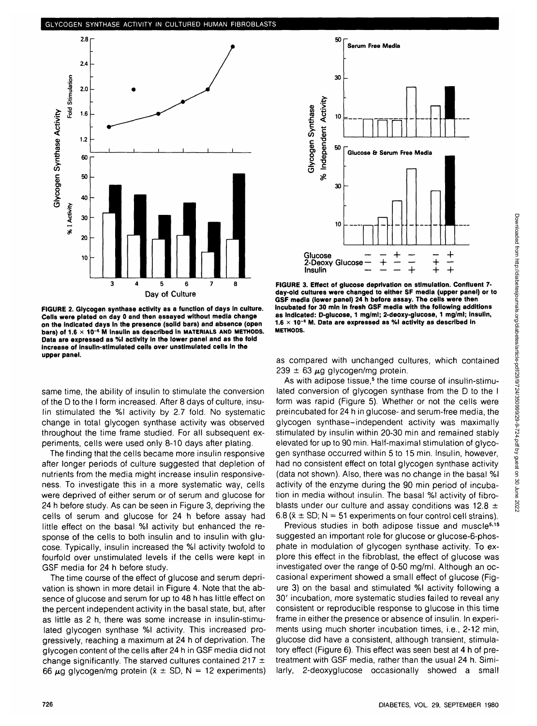

**FIGURE 2. Glycogen synthase activity as a function of days in culture. Cells were plated on day 0 and then assayed without media change on the indicated days in the presence (solid bars) and absence (open bars) of 1.6 x 10" <sup>6</sup> M Insulin as described In MATERIALS AND METHODS. Data are expressed as %l activity in the lower panel and as the fold Increase of insulin-stimulated cells over unstimulated cells in the upper panel.**

same time, the ability of insulin to stimulate the conversion of the D to the I form increased. After 8 days of culture, insulin stimulated the %l activity by 2.7 fold. No systematic change in total glycogen synthase activity was observed throughout the time frame studied. For all subsequent experiments, cells were used only 8-10 days after plating.

The finding that the cells became more insulin responsive after longer periods of culture suggested that depletion of nutrients from the media might increase insulin responsiveness. To investigate this in a more systematic way, cells were deprived of either serum or of serum and glucose for 24 h before study. As can be seen in Figure 3, depriving the cells of serum and glucose for 24 h before assay had little effect on the basal %l activity but enhanced the response of the cells to both insulin and to insulin with glucose. Typically, insulin increased the %l activity twofold to fourfold over unstimulated levels if the cells were kept in GSF media for 24 h before study.

The time course of the effect of glucose and serum deprivation is shown in more detail in Figure 4. Note that the absence of glucose and serum for up to 48 h has little effect on the percent independent activity in the basal state, but, after as little as 2 h, there was some increase in insulin-stimulated glycogen synthase %l activity. This increased progressively, reaching a maximum at 24 h of deprivation. The glycogen content of the cells after 24 h in GSF media did not change significantly. The starved cultures contained 217  $\pm$ 66  $\mu$ q glycogen/mg protein ( $\bar{x} \pm$  SD, N = 12 experiments)



**FIGURE 3. Effect of glucose deprivation on stimulation. Confluent 7 day-old cultures were changed to either SF media (upper panel) or to GSF media (lower panel) 24 h before assay. The cells were then incubated for 30 min in fresh GSF media with the following additions as indicated: D-glucose, 1 mg/ml; 2-deoxy-glucose, 1 mg/ml; insulin, 1.6 x 10~<sup>6</sup> M. Data are expressed as %l activity as described In METHODS.**

as compared with unchanged cultures, which contained  $239 \pm 63 \mu$ g glycogen/mg protein.

As with adipose tissue,<sup>5</sup> the time course of insulin-stimulated conversion of glycogen synthase from the D to the I form was rapid (Figure 5). Whether or not the cells were preincubated for 24 h in glucose- and serum-free media, the glycogen synthase-independent activity was maximally stimulated by insulin within 20-30 min and remained stably elevated for up to 90 min. Half-maximal stimulation of glycogen synthase occurred within 5 to 15 min. Insulin, however, had no consistent effect on total glycogen synthase activity (data not shown). Also, there was no change in the basal %l activity of the enzyme during the 90 min period of incubation in media without insulin. The basal %l activity of fibroblasts under our culture and assay conditions was 12.8  $\pm$ 6.8 ( $\bar{x} \pm$  SD; N = 51 experiments on four control cell strains).

Previous studies in both adipose tissue and muscle<sup>5,15</sup> suggested an important role for glucose or glucose-6-phosphate in modulation of glycogen synthase activity. To explore this effect in the fibroblast, the effect of glucose was investigated over the range of 0-50 mg/ml. Although an occasional experiment showed a small effect of glucose (Figure 3) on the basal and stimulated %l activity following a 30' incubation, more systematic studies failed to reveal any consistent or reproducible response to glucose in this time frame in either the presence or absence of insulin. In experiments using much shorter incubation times, i.e., 2-12 min, glucose did have a consistent, although transient, stimulatory effect (Figure 6). This effect was seen best at 4 h of pretreatment with GSF media, rather than the usual 24 h. Similarly, 2-deoxyglucose occasionally showed a small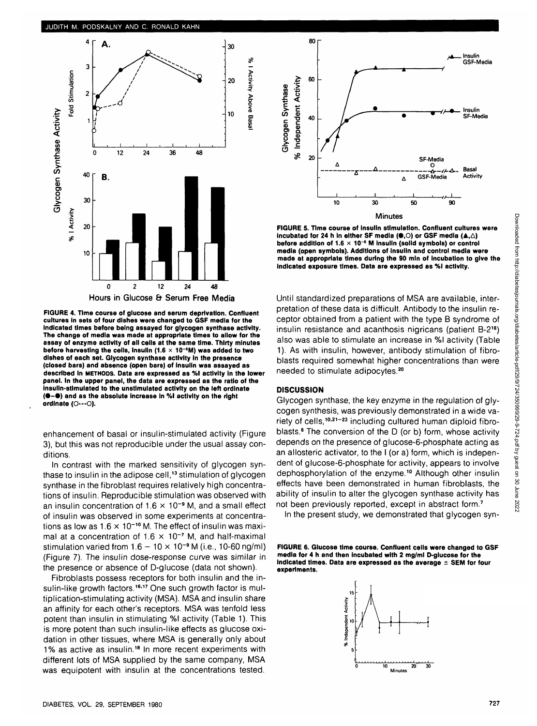

**FIGURE 4. Time course of glucose and serum deprivation. Confluent cultures In sets of four dishes were changed to GSF media for the Indicated times before being assayed for glycogen synthase activity. The change of media was made at appropriate times to allow for the assay of enzyme activity of all cells at the same time. Thirty minutes before harvesting the cells, insulin (1.6 x 1O~S M) was added to two dishes of each set. Glycogen synthase activity in the presence (closed bars) and absence (open bars) of insulin was assayed as described In METHODS. Data are expressed as %l activity in the lower panel. In the upper panel, the data are expressed as the ratio of the Insulin-stimulated to the unstlmulated activity on the left ordlnate (•-• ) and as the absolute increase In %l activity on the right ordinate (O---O).**

enhancement of basal or insulin-stimulated activity (Figure 3), but this was not reproducible under the usual assay conditions.

In contrast with the marked sensitivity of glycogen synthase to insulin in the adipose cell,<sup>13</sup> stimulation of glycogen synthase in the fibroblast requires relatively high concentrations of insulin. Reproducible stimulation was observed with an insulin concentration of  $1.6 \times 10^{-9}$  M, and a small effect of insulin was observed in some experiments at concentrations as low as  $1.6 \times 10^{-10}$  M. The effect of insulin was maximal at a concentration of  $1.6 \times 10^{-7}$  M, and half-maximal stimulation varied from  $1.6 - 10 \times 10^{-9}$  M (i.e., 10-60 ng/ml) (Figure 7). The insulin dose-response curve was similar in the presence or absence of D-glucose (data not shown).

Fibroblasts possess receptors for both insulin and the insulin-like growth factors.<sup>16,17</sup> One such growth factor is multiplication-stimulating activity (MSA). MSA and insulin share an affinity for each other's receptors. MSA was tenfold less potent than insulin in stimulating %l activity (Table 1). This is more potent than such insulin-like effects as glucose oxidation in other tissues, where MSA is generally only about 1% as active as insulin.<sup>18</sup> In more recent experiments with different lots of MSA supplied by the same company, MSA was equipotent with insulin at the concentrations tested.



**FIGURE 5. Time course of insulin stimulation. Confluent cultures were incubated for 24 h in either SF media (0.0) or GSF media (A, A) before addition of 1.6 x 10~6 M Insulin (solid symbols) or control media (open symbols). Additions of Insulin and control media were made at appropriate times during the 90 mln of incubation to give the indicated exposure times. Data are expressed as %l activity.**

Until standardized preparations of MSA are available, interpretation of these data is difficult. Antibody to the insulin receptor obtained from a patient with the type B syndrome of insulin resistance and acanthosis nigricans (patient B-218) also was able to stimulate an increase in %l activity (Table 1). As with insulin, however, antibody stimulation of fibroblasts required somewhat higher concentrations than were needed to stimulate adipocytes.<sup>20</sup>

# **DISCUSSION**

Glycogen synthase, the key enzyme in the regulation of glycogen synthesis, was previously demonstrated in a wide variety of cells,<sup>10,21-23</sup> including cultured human diploid fibroblasts.<sup>6</sup> The conversion of the D (or b) form, whose activity depends on the presence of glucose-6-phosphate acting as an allosteric activator, to the I (or a) form, which is independent of glucose-6-phosphate for activity, appears to involve dephosphorylation of the enzyme.<sup>10</sup> Although other insulin effects have been demonstrated in human fibroblasts, the ability of insulin to alter the glycogen synthase activity has not been previously reported, except in abstract form.<sup>7</sup>

In the present study, we demonstrated that glycogen syn-

**FIGURE 6. Glucose time course. Confluent cells were changed to GSF media for 4 h and then Incubated with 2 mg/ml D-glucose for the indicated times. Data are expressed as the average ± SEM for four experiments.**

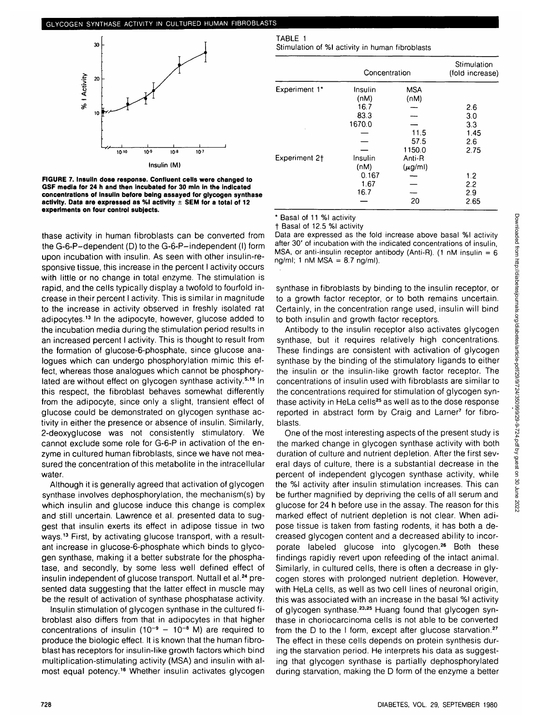

**FIGURE 7. Insulin dose response. Confluent cells were changed to GSF media for 24 h and then Incubated for 30 min in the indicated concentrations of insulin before being assayed for glycogen synthase activity. Data are expressed as %l activity ± SEM for a total of 12 experiments on four control subjects.**

thase activity in human fibroblasts can be converted from the G-6-P-dependent (D) to the G-6-P-independent (I) form upon incubation with insulin. As seen with other insulin-responsive tissue, this increase in the percent I activity occurs with little or no change in total enzyme. The stimulation is rapid, and the cells typically display a twofold to fourfold increase in their percent I activity. This is similar in magnitude to the increase in activity observed in freshly isolated rat adipocytes.<sup>13</sup> In the adipocyte, however, glucose added to the incubation media during the stimulation period results in an increased percent I activity. This is thought to result from the formation of glucose-6-phosphate, since glucose analogues which can undergo phosphorylation mimic this effect, whereas those analogues which cannot be phosphorylated are without effect on glycogen synthase activity.<sup>5,15</sup> In this respect, the fibroblast behaves somewhat differently from the adipocyte, since only a slight, transient effect of glucose could be demonstrated on glycogen synthase activity in either the presence or absence of insulin. Similarly, 2-deoxyglucose was not consistently stimulatory. We cannot exclude some role for G-6-P in activation of the enzyme in cultured human fibroblasts, since we have not measured the concentration of this metabolite in the intracellular water.

Although it is generally agreed that activation of glycogen synthase involves dephosphorylation, the mechanism(s) by which insulin and glucose induce this change is complex and still uncertain. Lawrence et al. presented data to suggest that insulin exerts its effect in adipose tissue in two ways.<sup>13</sup> First, by activating glucose transport, with a resultant increase in glucose-6-phosphate which binds to glycogen synthase, making it a better substrate for the phosphatase, and secondly, by some less well defined effect of insulin independent of glucose transport. Nuttall et al.<sup>24</sup> presented data suggesting that the latter effect in muscle may be the result of activation of synthase phosphatase activity.

Insulin stimulation of glycogen synthase in the cultured fibroblast also differs from that in adipocytes in that higher concentrations of insulin  $(10^{-9} - 10^{-8}$  M) are required to produce the biologic effect. It is known that the human fibroblast has receptors for insulin-like growth factors which bind multiplication-stimulating activity (MSA) and insulin with almost equal potency.<sup>16</sup> Whether insulin activates glycogen

TABLE 1

Stimulation of %l activity in human fibroblasts

| Experiment 1*             | Concentration |             | Stimulation<br>(fold increase) |
|---------------------------|---------------|-------------|--------------------------------|
|                           | Insulin       | <b>MSA</b>  |                                |
|                           | (nM)          | (nM)        |                                |
|                           | 16.7          |             | 2.6                            |
|                           | 83.3          |             | 3.0                            |
|                           | 1670.0        |             | 3.3                            |
|                           |               | 11.5        | 1.45                           |
|                           |               | 57.5        | 2.6                            |
|                           |               | 1150.0      | 2.75                           |
| Experiment 2 <sup>+</sup> | Insulin       | Anti-R      |                                |
|                           | (nM)          | $(\mu g/m)$ |                                |
|                           | 0.167         |             | 1.2                            |
|                           | 1.67          |             | 2.2                            |
|                           | 16.7          |             | 2.9                            |
|                           |               | 20          | 2.65                           |

\* Basal of 11 %l activity

f Basal of 12.5 %l activity

Data are expressed as the fold increase above basal %l activity after 30' of incubation with the indicated concentrations of insulin, MSA, or anti-insulin receptor antibody (Anti-R). (1 nM insulin =  $6$ ng/ml; 1 nM MSA =  $8.7$  ng/ml).

synthase in fibroblasts by binding to the insulin receptor, or to a growth factor receptor, or to both remains uncertain. Certainly, in the concentration range used, insulin will bind to both insulin and growth factor receptors.

Antibody to the insulin receptor also activates glycogen synthase, but it requires relatively high concentrations. These findings are consistent with activation of glycogen synthase by the binding of the stimulatory ligands to either the insulin or the insulin-like growth factor receptor. The concentrations of insulin used with fibroblasts are similar to the concentrations required for stimulation of glycogen synthase activity in HeLa cells<sup>25</sup> as well as to the dose response reported in abstract form by Craig and Larner<sup>7</sup> for fibroblasts.

One of the most interesting aspects of the present study is the marked change in glycogen synthase activity with both duration of culture and nutrient depletion. After the first several days of culture, there is a substantial decrease in the percent of independent glycogen synthase activity, while the %l activity after insulin stimulation increases. This can be further magnified by depriving the cells of all serum and glucose for 24 h before use in the assay. The reason for this marked effect of nutrient depletion is not clear. When adipose tissue is taken from fasting rodents, it has both a decreased glycogen content and a decreased ability to incorporate labeled glucose into glycogen.<sup>26</sup> Both these findings rapidly revert upon refeeding of the intact animal. Similarly, in cultured cells, there is often a decrease in glycogen stores with prolonged nutrient depletion. However, with HeLa cells, as well as two cell lines of neuronal origin, this was associated with an increase in the basal %l activity of glycogen synthase.<sup>23,25</sup> Huang found that glycogen synthase in choriocarcinoma cells is not able to be converted from the D to the I form, except after glucose starvation.<sup>27</sup> The effect in these cells depends on protein synthesis during the starvation period. He interprets his data as suggesting that glycogen synthase is partially dephosphorylated during starvation, making the D form of the enzyme a better